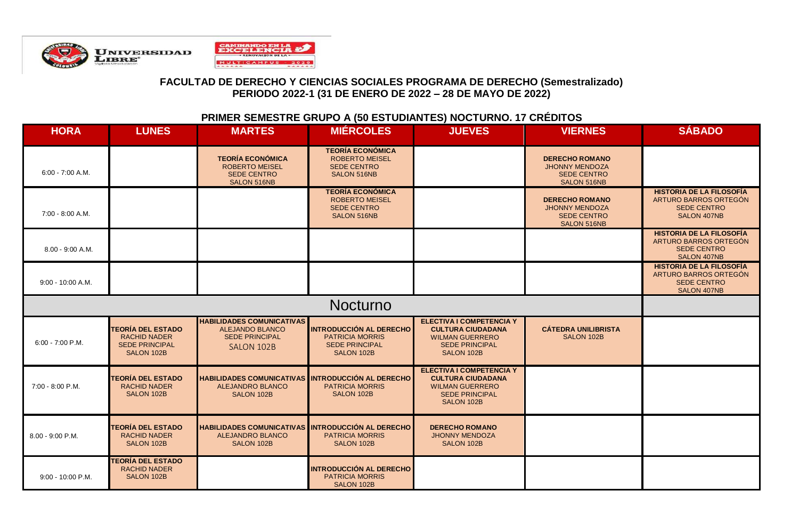

# **PRIMER SEMESTRE GRUPO A (50 ESTUDIANTES) NOCTURNO. 17 CRÉDITOS**

| <b>HORA</b>        | <b>LUNES</b>                                                                           | <b>MARTES</b>                                                                                     | <b>MIERCOLES</b>                                                                                | <b>JUEVES</b>                                                                                                                | <b>VIERNES</b>                                                                             | <b>SÁBADO</b>                                                                                 |
|--------------------|----------------------------------------------------------------------------------------|---------------------------------------------------------------------------------------------------|-------------------------------------------------------------------------------------------------|------------------------------------------------------------------------------------------------------------------------------|--------------------------------------------------------------------------------------------|-----------------------------------------------------------------------------------------------|
| $6:00 - 7:00$ A.M. |                                                                                        | <b>TEORÍA ECONÓMICA</b><br><b>ROBERTO MEISEL</b><br><b>SEDE CENTRO</b><br>SALON 516NB             | <b>TEORÍA ECONÓMICA</b><br><b>ROBERTO MEISEL</b><br><b>SEDE CENTRO</b><br>SALON 516NB           |                                                                                                                              | <b>DERECHO ROMANO</b><br><b>JHONNY MENDOZA</b><br><b>SEDE CENTRO</b><br><b>SALON 516NB</b> |                                                                                               |
| 7:00 - 8:00 A.M.   |                                                                                        |                                                                                                   | <b>TEORÍA ECONÓMICA</b><br><b>ROBERTO MEISEL</b><br><b>SEDE CENTRO</b><br>SALON 516NB           |                                                                                                                              | <b>DERECHO ROMANO</b><br><b>JHONNY MENDOZA</b><br><b>SEDE CENTRO</b><br>SALON 516NB        | <b>HISTORIA DE LA FILOSOFÍA</b><br>ARTURO BARROS ORTEGÓN<br><b>SEDE CENTRO</b><br>SALON 407NB |
| 8.00 - 9:00 A.M.   |                                                                                        |                                                                                                   |                                                                                                 |                                                                                                                              |                                                                                            | <b>HISTORIA DE LA FILOSOFÍA</b><br>ARTURO BARROS ORTEGÓN<br><b>SEDE CENTRO</b><br>SALON 407NB |
| 9:00 - 10:00 A.M.  |                                                                                        |                                                                                                   |                                                                                                 |                                                                                                                              |                                                                                            | <b>HISTORIA DE LA FILOSOFÍA</b><br>ARTURO BARROS ORTEGÓN<br><b>SEDE CENTRO</b><br>SALON 407NB |
|                    |                                                                                        |                                                                                                   | <b>Nocturno</b>                                                                                 |                                                                                                                              |                                                                                            |                                                                                               |
| $6:00 - 7:00$ P.M. | <b>TEORÍA DEL ESTADO</b><br><b>RACHID NADER</b><br><b>SEDE PRINCIPAL</b><br>SALON 102B | <b>HABILIDADES COMUNICATIVAS</b><br><b>ALEJANDO BLANCO</b><br><b>SEDE PRINCIPAL</b><br>SALON 102B | <b>INTRODUCCIÓN AL DERECHO</b><br><b>PATRICIA MORRIS</b><br><b>SEDE PRINCIPAL</b><br>SALON 102B | <b>ELECTIVA I COMPETENCIA Y</b><br><b>CULTURA CIUDADANA</b><br><b>WILMAN GUERRERO</b><br><b>SEDE PRINCIPAL</b><br>SALON 102B | <b>CÁTEDRA UNILIBRISTA</b><br>SALON 102B                                                   |                                                                                               |
| $7:00 - 8:00$ P.M. | <b>TEORÍA DEL ESTADO</b><br><b>RACHID NADER</b><br>SALON 102B                          | <b>HABILIDADES COMUNICATIVAS INTRODUCCIÓN AL DERECHO</b><br>ALEJANDRO BLANCO<br>SALON 102B        | <b>PATRICIA MORRIS</b><br>SALON 102B                                                            | <b>ELECTIVA I COMPETENCIA Y</b><br><b>CULTURA CIUDADANA</b><br><b>WILMAN GUERRERO</b><br><b>SEDE PRINCIPAL</b><br>SALON 102B |                                                                                            |                                                                                               |
| 8.00 - 9:00 P.M.   | <b>TEORÍA DEL ESTADO</b><br><b>RACHID NADER</b><br>SALON 102B                          | HABILIDADES COMUNICATIVAS INTRODUCCIÓN AL DERECHO<br><b>ALEJANDRO BLANCO</b><br>SALON 102B        | <b>PATRICIA MORRIS</b><br>SALON 102B                                                            | <b>DERECHO ROMANO</b><br><b>JHONNY MENDOZA</b><br>SALON 102B                                                                 |                                                                                            |                                                                                               |
| 9:00 - 10:00 P.M.  | <b>TEORÍA DEL ESTADO</b><br><b>RACHID NADER</b><br>SALON 102B                          |                                                                                                   | INTRODUCCIÓN AL DERECHO<br><b>PATRICIA MORRIS</b><br>SALON 102B                                 |                                                                                                                              |                                                                                            |                                                                                               |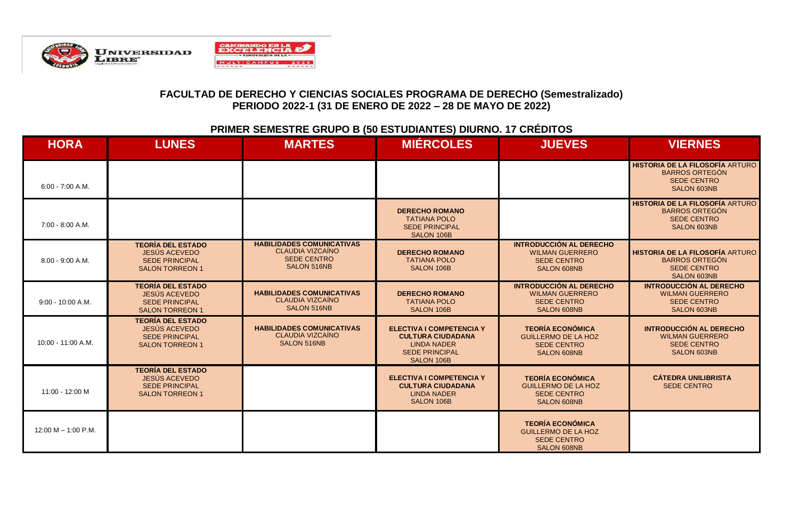

#### **PRIMER SEMESTRE GRUPO B (50 ESTUDIANTES) DIURNO. 17 CRÉDITOS**

| <b>HORA</b>           | <b>LUNES</b>                                                                                 | <b>MARTES</b>                                                                                    | <b>MIERCOLES</b>                                                                                                         | <b>JUEVES</b>                                                                                        | <b>VIERNES</b>                                                                                              |
|-----------------------|----------------------------------------------------------------------------------------------|--------------------------------------------------------------------------------------------------|--------------------------------------------------------------------------------------------------------------------------|------------------------------------------------------------------------------------------------------|-------------------------------------------------------------------------------------------------------------|
| $6:00 - 7:00 A.M.$    |                                                                                              |                                                                                                  |                                                                                                                          |                                                                                                      | <b>HISTORIA DE LA FILOSOFÍA ARTURO</b><br><b>BARROS ORTEGÓN</b><br><b>SEDE CENTRO</b><br>SALON 603NB        |
| 7:00 - 8:00 A.M.      |                                                                                              |                                                                                                  | <b>DERECHO ROMANO</b><br><b>TATIANA POLO</b><br><b>SEDE PRINCIPAL</b><br>SALON 106B                                      |                                                                                                      | <b>HISTORIA DE LA FILOSOFÍA ARTURO</b><br><b>BARROS ORTEGÓN</b><br><b>SEDE CENTRO</b><br><b>SALON 603NB</b> |
| 8.00 - 9:00 A.M.      | <b>TEORÍA DEL ESTADO</b><br>JESÚS ACEVEDO<br><b>SEDE PRINCIPAL</b><br><b>SALON TORREON 1</b> | <b>HABILIDADES COMUNICATIVAS</b><br><b>CLAUDIA VIZCAÍNO</b><br><b>SEDE CENTRO</b><br>SALON 516NB | <b>DERECHO ROMANO</b><br><b>TATIANA POLO</b><br>SALON 106B                                                               | <b>INTRODUCCIÓN AL DERECHO</b><br><b>WILMAN GUERRERO</b><br><b>SEDE CENTRO</b><br><b>SALON 608NB</b> | <b>HISTORIA DE LA FILOSOFÍA ARTURO</b><br><b>BARROS ORTEGÓN</b><br><b>SEDE CENTRO</b><br><b>SALON 603NB</b> |
| $9:00 - 10:00 A.M.$   | <b>TEORÍA DEL ESTADO</b><br>JESÚS ACEVEDO<br><b>SEDE PRINCIPAL</b><br><b>SALON TORREON 1</b> | <b>HABILIDADES COMUNICATIVAS</b><br>CLAUDIA VIZCAÍNO<br>SALON 516NB                              | <b>DERECHO ROMANO</b><br><b>TATIANA POLO</b><br>SALON 106B                                                               | <b>INTRODUCCIÓN AL DERECHO</b><br><b>WILMAN GUERRERO</b><br><b>SEDE CENTRO</b><br><b>SALON 608NB</b> | <b>INTRODUCCIÓN AL DERECHO</b><br><b>WILMAN GUERRERO</b><br><b>SEDE CENTRO</b><br>SALON 603NB               |
| 10:00 - 11:00 A.M.    | <b>TEORÍA DEL ESTADO</b><br>JESÚS ACEVEDO<br><b>SEDE PRINCIPAL</b><br><b>SALON TORREON 1</b> | <b>HABILIDADES COMUNICATIVAS</b><br>CLAUDIA VIZCAINO<br>SALON 516NB                              | <b>ELECTIVA I COMPETENCIA Y</b><br><b>CULTURA CIUDADANA</b><br><b>LINDA NADER</b><br><b>SEDE PRINCIPAL</b><br>SALON 106B | <b>TEORÍA ECONÓMICA</b><br><b>GUILLERMO DE LA HOZ</b><br><b>SEDE CENTRO</b><br><b>SALON 608NB</b>    | <b>INTRODUCCIÓN AL DERECHO</b><br><b>WILMAN GUERRERO</b><br><b>SEDE CENTRO</b><br>SALON 603NB               |
| 11:00 - 12:00 M       | <b>TEORÍA DEL ESTADO</b><br>JESÚS ACEVEDO<br><b>SEDE PRINCIPAL</b><br><b>SALON TORREON 1</b> |                                                                                                  | <b>ELECTIVA I COMPETENCIA Y</b><br><b>CULTURA CIUDADANA</b><br><b>LINDA NADER</b><br>SALON 106B                          | <b>TEORÍA ECONÓMICA</b><br><b>GUILLERMO DE LA HOZ</b><br><b>SEDE CENTRO</b><br>SALON 608NB           | <b>CÁTEDRA UNILIBRISTA</b><br><b>SEDE CENTRO</b>                                                            |
| $12:00 M - 1:00 P.M.$ |                                                                                              |                                                                                                  |                                                                                                                          | <b>TEORÍA ECONÓMICA</b><br><b>GUILLERMO DE LA HOZ</b><br><b>SEDE CENTRO</b><br>SALON 608NB           |                                                                                                             |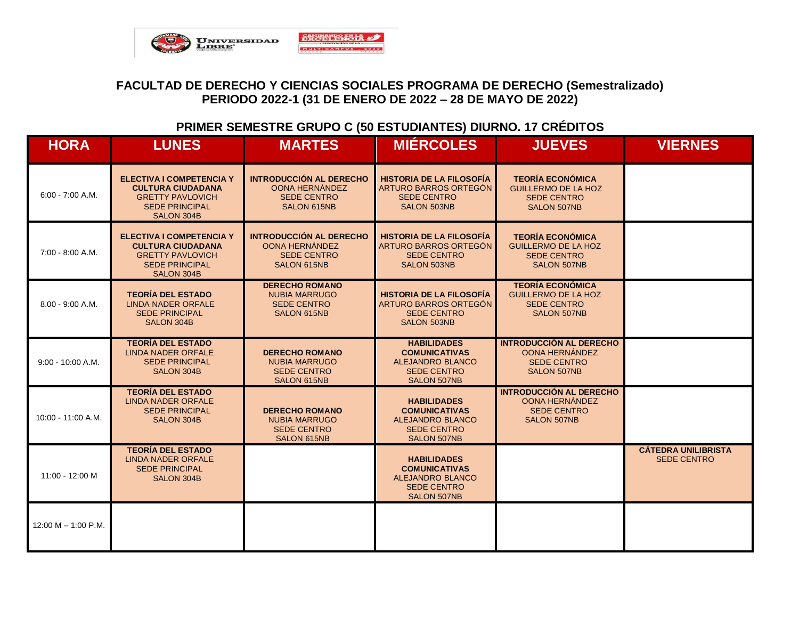

#### **PRIMER SEMESTRE GRUPO C (50 ESTUDIANTES) DIURNO. 17 CRÉDITOS**

| <b>HORA</b>           | <b>LUNES</b>                                                                                                                  | <b>MARTES</b>                                                                                | <b>MIÉRCOLES</b>                                                                                                  | <b>JUEVES</b>                                                                                       | <b>VIERNES</b>                                   |
|-----------------------|-------------------------------------------------------------------------------------------------------------------------------|----------------------------------------------------------------------------------------------|-------------------------------------------------------------------------------------------------------------------|-----------------------------------------------------------------------------------------------------|--------------------------------------------------|
| $6:00 - 7:00 A.M.$    | <b>ELECTIVA I COMPETENCIA Y</b><br><b>CULTURA CIUDADANA</b><br><b>GRETTY PAVLOVICH</b><br><b>SEDE PRINCIPAL</b><br>SALON 304B | <b>INTRODUCCIÓN AL DERECHO</b><br>OONA HERNÁNDEZ<br><b>SEDE CENTRO</b><br>SALON 615NB        | <b>HISTORIA DE LA FILOSOFÍA</b><br>ARTURO BARROS ORTEGÓN<br><b>SEDE CENTRO</b><br><b>SALON 503NB</b>              | <b>TEORÍA ECONÓMICA</b><br><b>GUILLERMO DE LA HOZ</b><br><b>SEDE CENTRO</b><br><b>SALON 507NB</b>   |                                                  |
| 7:00 - 8:00 A.M.      | <b>ELECTIVA I COMPETENCIA Y</b><br><b>CULTURA CIUDADANA</b><br><b>GRETTY PAVLOVICH</b><br><b>SEDE PRINCIPAL</b><br>SALON 304B | <b>INTRODUCCIÓN AL DERECHO</b><br>OONA HERNÁNDEZ<br><b>SEDE CENTRO</b><br><b>SALON 615NB</b> | <b>HISTORIA DE LA FILOSOFÍA</b><br>ARTURO BARROS ORTEGÓN<br><b>SEDE CENTRO</b><br><b>SALON 503NB</b>              | <b>TEORÍA ECONÓMICA</b><br><b>GUILLERMO DE LA HOZ</b><br><b>SEDE CENTRO</b><br><b>SALON 507NB</b>   |                                                  |
| $8.00 - 9:00 A.M.$    | <b>TEORÍA DEL ESTADO</b><br><b>LINDA NADER ORFALE</b><br><b>SEDE PRINCIPAL</b><br>SALON 304B                                  | <b>DERECHO ROMANO</b><br><b>NUBIA MARRUGO</b><br><b>SEDE CENTRO</b><br><b>SALON 615NB</b>    | <b>HISTORIA DE LA FILOSOFÍA</b><br>ARTURO BARROS ORTEGÓN<br><b>SEDE CENTRO</b><br><b>SALON 503NB</b>              | <b>TEORÍA ECONÓMICA</b><br><b>GUILLERMO DE LA HOZ</b><br><b>SEDE CENTRO</b><br>SALON 507NB          |                                                  |
| $9:00 - 10:00 A.M.$   | <b>TEORÍA DEL ESTADO</b><br><b>LINDA NADER ORFALE</b><br><b>SEDE PRINCIPAL</b><br>SALON 304B                                  | <b>DERECHO ROMANO</b><br><b>NUBIA MARRUGO</b><br><b>SEDE CENTRO</b><br>SALON 615NB           | <b>HABILIDADES</b><br><b>COMUNICATIVAS</b><br><b>ALEJANDRO BLANCO</b><br><b>SEDE CENTRO</b><br><b>SALON 507NB</b> | <b>INTRODUCCIÓN AL DERECHO</b><br>OONA HERNÁNDEZ<br><b>SEDE CENTRO</b><br><b>SALON 507NB</b>        |                                                  |
| 10:00 - 11:00 A.M.    | <b>TEORÍA DEL ESTADO</b><br><b>LINDA NADER ORFALE</b><br><b>SEDE PRINCIPAL</b><br><b>SALON 304B</b>                           | <b>DERECHO ROMANO</b><br><b>NUBIA MARRUGO</b><br><b>SEDE CENTRO</b><br>SALON 615NB           | <b>HABILIDADES</b><br><b>COMUNICATIVAS</b><br><b>ALEJANDRO BLANCO</b><br><b>SEDE CENTRO</b><br><b>SALON 507NB</b> | <b>INTRODUCCIÓN AL DERECHO</b><br><b>OONA HERNÁNDEZ</b><br><b>SEDE CENTRO</b><br><b>SALON 507NB</b> |                                                  |
| 11:00 - 12:00 M       | <b>TEORÍA DEL ESTADO</b><br><b>LINDA NADER ORFALE</b><br><b>SEDE PRINCIPAL</b><br>SALON 304B                                  |                                                                                              | <b>HABILIDADES</b><br><b>COMUNICATIVAS</b><br><b>ALEJANDRO BLANCO</b><br><b>SEDE CENTRO</b><br><b>SALON 507NB</b> |                                                                                                     | <b>CÁTEDRA UNILIBRISTA</b><br><b>SEDE CENTRO</b> |
| 12:00 M $-$ 1:00 P.M. |                                                                                                                               |                                                                                              |                                                                                                                   |                                                                                                     |                                                  |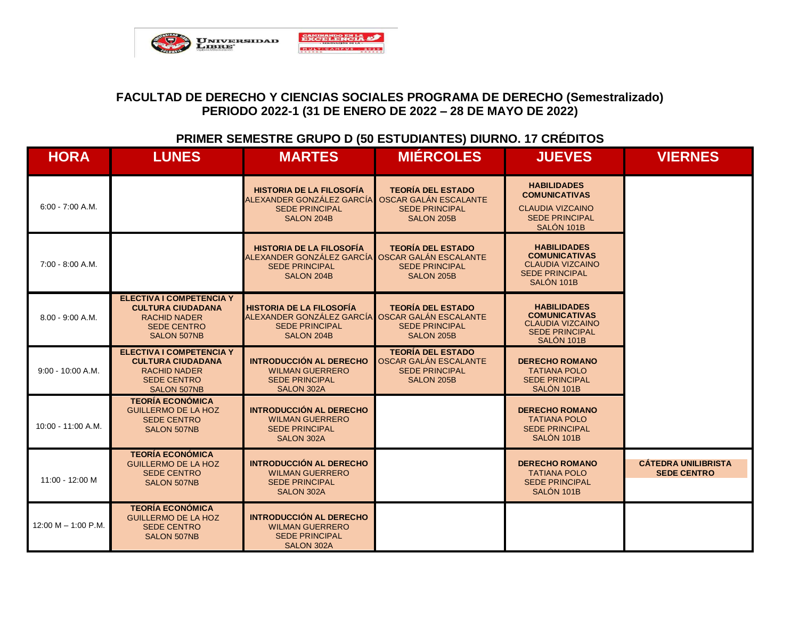

#### **PRIMER SEMESTRE GRUPO D (50 ESTUDIANTES) DIURNO. 17 CRÉDITOS**

| <b>HORA</b>           | <b>LUNES</b>                                                                                                                   | <b>MARTES</b>                                                                                                             | <b>MIÉRCOLES</b>                                                                                | <b>JUEVES</b>                                                                                                | <b>VIERNES</b>                                   |
|-----------------------|--------------------------------------------------------------------------------------------------------------------------------|---------------------------------------------------------------------------------------------------------------------------|-------------------------------------------------------------------------------------------------|--------------------------------------------------------------------------------------------------------------|--------------------------------------------------|
| $6:00 - 7:00$ A.M.    |                                                                                                                                | <b>HISTORIA DE LA FILOSOFÍA</b><br>ALEXANDER GONZÁLEZ GARCÍA<br><b>SEDE PRINCIPAL</b><br>SALON 204B                       | <b>TEORÍA DEL ESTADO</b><br>OSCAR GALÁN ESCALANTE<br><b>SEDE PRINCIPAL</b><br>SALON 205B        | <b>HABILIDADES</b><br><b>COMUNICATIVAS</b><br><b>CLAUDIA VIZCAINO</b><br><b>SEDE PRINCIPAL</b><br>SALÓN 101B |                                                  |
| 7:00 - 8:00 A.M.      |                                                                                                                                | <b>HISTORIA DE LA FILOSOFÍA</b><br>ALEXANDER GONZÁLEZ GARCÍA OSCAR GALÁN ESCALANTE<br><b>SEDE PRINCIPAL</b><br>SALON 204B | <b>TEORÍA DEL ESTADO</b><br><b>SEDE PRINCIPAL</b><br><b>SALON 205B</b>                          | <b>HABILIDADES</b><br><b>COMUNICATIVAS</b><br><b>CLAUDIA VIZCAINO</b><br><b>SEDE PRINCIPAL</b><br>SALÓN 101B |                                                  |
| $8.00 - 9:00 A.M.$    | <b>ELECTIVA I COMPETENCIA Y</b><br><b>CULTURA CIUDADANA</b><br><b>RACHID NADER</b><br><b>SEDE CENTRO</b><br><b>SALON 507NB</b> | <b>HISTORIA DE LA FILOSOFÍA</b><br>ALEXANDER GONZÁLEZ GARCÍA OSCAR GALÁN ESCALANTE<br><b>SEDE PRINCIPAL</b><br>SALON 204B | <b>TEORÍA DEL ESTADO</b><br><b>SEDE PRINCIPAL</b><br>SALON 205B                                 | <b>HABILIDADES</b><br><b>COMUNICATIVAS</b><br><b>CLAUDIA VIZCAINO</b><br><b>SEDE PRINCIPAL</b><br>SALÓN 101B |                                                  |
| $9:00 - 10:00 A.M.$   | <b>ELECTIVA I COMPETENCIA Y</b><br><b>CULTURA CIUDADANA</b><br><b>RACHID NADER</b><br><b>SEDE CENTRO</b><br><b>SALON 507NB</b> | <b>INTRODUCCIÓN AL DERECHO</b><br><b>WILMAN GUERRERO</b><br><b>SEDE PRINCIPAL</b><br><b>SALON 302A</b>                    | <b>TEORÍA DEL ESTADO</b><br>OSCAR GALÁN ESCALANTE<br><b>SEDE PRINCIPAL</b><br><b>SALON 205B</b> | <b>DERECHO ROMANO</b><br><b>TATIANA POLO</b><br><b>SEDE PRINCIPAL</b><br>SALÓN 101B                          |                                                  |
| 10:00 - 11:00 A.M.    | <b>TEORÍA ECONÓMICA</b><br><b>GUILLERMO DE LA HOZ</b><br><b>SEDE CENTRO</b><br><b>SALON 507NB</b>                              | <b>INTRODUCCIÓN AL DERECHO</b><br><b>WILMAN GUERRERO</b><br><b>SEDE PRINCIPAL</b><br>SALON 302A                           |                                                                                                 | <b>DERECHO ROMANO</b><br><b>TATIANA POLO</b><br><b>SEDE PRINCIPAL</b><br>SALÓN 101B                          |                                                  |
| 11:00 - 12:00 M       | <b>TEORÍA ECONÓMICA</b><br><b>GUILLERMO DE LA HOZ</b><br><b>SEDE CENTRO</b><br><b>SALON 507NB</b>                              | <b>INTRODUCCIÓN AL DERECHO</b><br><b>WILMAN GUERRERO</b><br><b>SEDE PRINCIPAL</b><br>SALON 302A                           |                                                                                                 | <b>DERECHO ROMANO</b><br><b>TATIANA POLO</b><br><b>SEDE PRINCIPAL</b><br>SALÓN 101B                          | <b>CÁTEDRA UNILIBRISTA</b><br><b>SEDE CENTRO</b> |
| 12:00 M $-$ 1:00 P.M. | <b>TEORÍA ECONÓMICA</b><br><b>GUILLERMO DE LA HOZ</b><br><b>SEDE CENTRO</b><br><b>SALON 507NB</b>                              | <b>INTRODUCCIÓN AL DERECHO</b><br><b>WILMAN GUERRERO</b><br><b>SEDE PRINCIPAL</b><br><b>SALON 302A</b>                    |                                                                                                 |                                                                                                              |                                                  |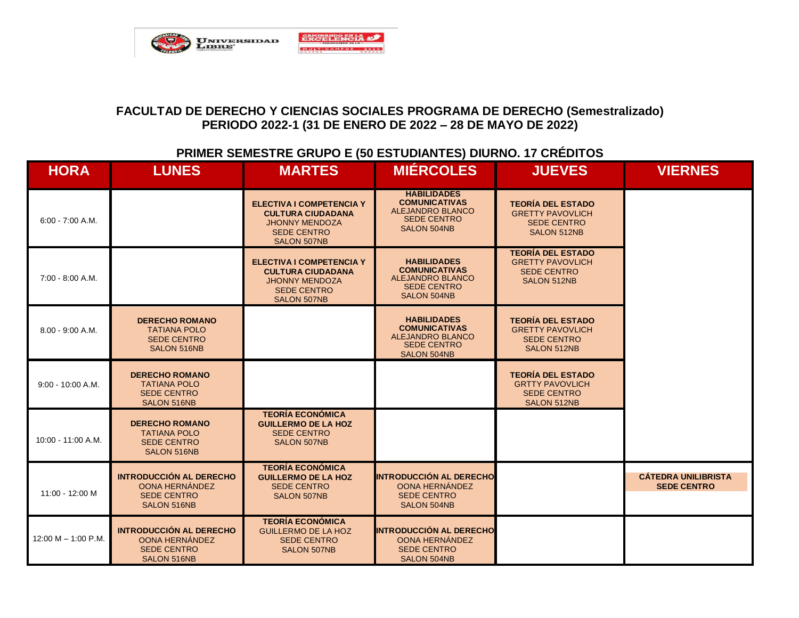

### **PRIMER SEMESTRE GRUPO E (50 ESTUDIANTES) DIURNO. 17 CRÉDITOS**

| <b>HORA</b>           | <b>LUNES</b>                                                                                 | <b>MARTES</b>                                                                                                                    | <b>MIÉRCOLES</b>                                                                                                  | <b>JUEVES</b>                                                                                  | <b>VIERNES</b>                                   |
|-----------------------|----------------------------------------------------------------------------------------------|----------------------------------------------------------------------------------------------------------------------------------|-------------------------------------------------------------------------------------------------------------------|------------------------------------------------------------------------------------------------|--------------------------------------------------|
| $6:00 - 7:00 A.M.$    |                                                                                              | <b>ELECTIVA I COMPETENCIA Y</b><br><b>CULTURA CIUDADANA</b><br><b>JHONNY MENDOZA</b><br><b>SEDE CENTRO</b><br>SALON 507NB        | <b>HABILIDADES</b><br><b>COMUNICATIVAS</b><br><b>ALEJANDRO BLANCO</b><br><b>SEDE CENTRO</b><br><b>SALON 504NB</b> | <b>TEORÍA DEL ESTADO</b><br><b>GRETTY PAVOVLICH</b><br><b>SEDE CENTRO</b><br>SALON 512NB       |                                                  |
| 7:00 - 8:00 A.M.      |                                                                                              | <b>ELECTIVA I COMPETENCIA Y</b><br><b>CULTURA CIUDADANA</b><br><b>JHONNY MENDOZA</b><br><b>SEDE CENTRO</b><br><b>SALON 507NB</b> | <b>HABILIDADES</b><br><b>COMUNICATIVAS</b><br><b>ALEJANDRO BLANCO</b><br><b>SEDE CENTRO</b><br>SALON 504NB        | <b>TEORÍA DEL ESTADO</b><br><b>GRETTY PAVOVLICH</b><br><b>SEDE CENTRO</b><br>SALON 512NB       |                                                  |
| $8.00 - 9:00 A.M.$    | <b>DERECHO ROMANO</b><br><b>TATIANA POLO</b><br><b>SEDE CENTRO</b><br><b>SALON 516NB</b>     |                                                                                                                                  | <b>HABILIDADES</b><br><b>COMUNICATIVAS</b><br><b>ALEJANDRO BLANCO</b><br><b>SEDE CENTRO</b><br><b>SALON 504NB</b> | <b>TEORÍA DEL ESTADO</b><br><b>GRETTY PAVOVLICH</b><br><b>SEDE CENTRO</b><br>SALON 512NB       |                                                  |
| $9:00 - 10:00 A.M.$   | <b>DERECHO ROMANO</b><br><b>TATIANA POLO</b><br><b>SEDE CENTRO</b><br>SALON 516NB            |                                                                                                                                  |                                                                                                                   | <b>TEORÍA DEL ESTADO</b><br><b>GRTTY PAVOVLICH</b><br><b>SEDE CENTRO</b><br><b>SALON 512NB</b> |                                                  |
| 10:00 - 11:00 A.M.    | <b>DERECHO ROMANO</b><br><b>TATIANA POLO</b><br><b>SEDE CENTRO</b><br><b>SALON 516NB</b>     | <b>TEORÍA ECONÓMICA</b><br><b>GUILLERMO DE LA HOZ</b><br><b>SEDE CENTRO</b><br><b>SALON 507NB</b>                                |                                                                                                                   |                                                                                                |                                                  |
| 11:00 - 12:00 M       | <b>INTRODUCCIÓN AL DERECHO</b><br>OONA HERNÁNDEZ<br><b>SEDE CENTRO</b><br>SALON 516NB        | <b>TEORÍA ECONÓMICA</b><br><b>GUILLERMO DE LA HOZ</b><br><b>SEDE CENTRO</b><br><b>SALON 507NB</b>                                | <b>INTRODUCCIÓN AL DERECHO</b><br>OONA HERNÁNDEZ<br><b>SEDE CENTRO</b><br><b>SALON 504NB</b>                      |                                                                                                | <b>CÁTEDRA UNILIBRISTA</b><br><b>SEDE CENTRO</b> |
| 12:00 M $-$ 1:00 P.M. | <b>INTRODUCCIÓN AL DERECHO</b><br>OONA HERNÁNDEZ<br><b>SEDE CENTRO</b><br><b>SALON 516NB</b> | <b>TEORÍA ECONÓMICA</b><br><b>GUILLERMO DE LA HOZ</b><br><b>SEDE CENTRO</b><br><b>SALON 507NB</b>                                | <b>INTRODUCCIÓN AL DERECHO</b><br>OONA HERNÁNDEZ<br><b>SEDE CENTRO</b><br><b>SALON 504NB</b>                      |                                                                                                |                                                  |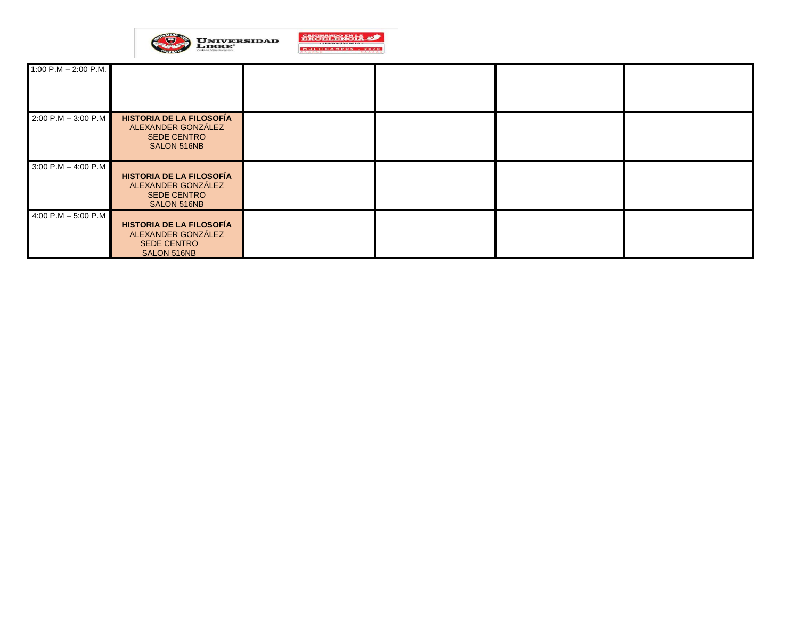

| 1:00 P.M $-$ 2:00 P.M. |                                                                                            |  |  |
|------------------------|--------------------------------------------------------------------------------------------|--|--|
| $2:00 P.M - 3:00 P.M$  | HISTORIA DE LA FILOSOFÍA<br>ALEXANDER GONZÁLEZ<br><b>SEDE CENTRO</b><br>SALON 516NB        |  |  |
| $3:00 P.M - 4:00 P.M$  | <b>HISTORIA DE LA FILOSOFÍA</b><br>ALEXANDER GONZÁLEZ<br><b>SEDE CENTRO</b><br>SALON 516NB |  |  |
| 4:00 P.M $-$ 5:00 P.M  | <b>HISTORIA DE LA FILOSOFÍA</b><br>ALEXANDER GONZÁLEZ<br><b>SEDE CENTRO</b><br>SALON 516NB |  |  |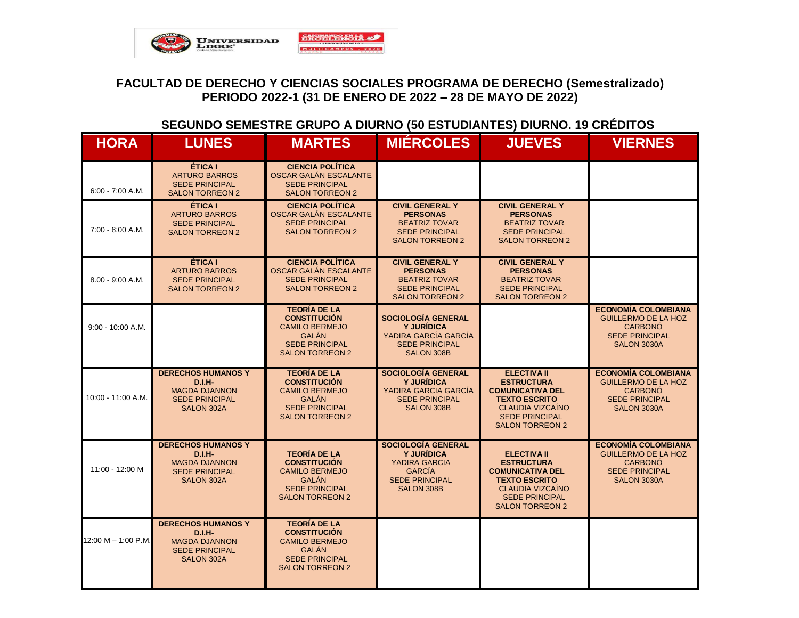

### **SEGUNDO SEMESTRE GRUPO A DIURNO (50 ESTUDIANTES) DIURNO. 19 CRÉDITOS**

| <b>HORA</b>         | <b>LUNES</b>                                                                                                     | <b>MARTES</b>                                                                                                                          | <b>MIÉRCOLES</b>                                                                                                        | <b>JUEVES</b>                                                                                                                                                            | <b>VIERNES</b>                                                                                                     |
|---------------------|------------------------------------------------------------------------------------------------------------------|----------------------------------------------------------------------------------------------------------------------------------------|-------------------------------------------------------------------------------------------------------------------------|--------------------------------------------------------------------------------------------------------------------------------------------------------------------------|--------------------------------------------------------------------------------------------------------------------|
| $6:00 - 7:00 A.M.$  | <b>ÉTICA I</b><br><b>ARTURO BARROS</b><br><b>SEDE PRINCIPAL</b><br><b>SALON TORREON 2</b>                        | <b>CIENCIA POLÍTICA</b><br>OSCAR GALÁN ESCALANTE<br><b>SEDE PRINCIPAL</b><br><b>SALON TORREON 2</b>                                    |                                                                                                                         |                                                                                                                                                                          |                                                                                                                    |
| $7:00 - 8:00 A.M.$  | <b>ÉTICA I</b><br><b>ARTURO BARROS</b><br><b>SEDE PRINCIPAL</b><br><b>SALON TORREON 2</b>                        | <b>CIENCIA POLÍTICA</b><br>OSCAR GALÁN ESCALANTE<br><b>SEDE PRINCIPAL</b><br><b>SALON TORREON 2</b>                                    | <b>CIVIL GENERAL Y</b><br><b>PERSONAS</b><br><b>BEATRIZ TOVAR</b><br><b>SEDE PRINCIPAL</b><br><b>SALON TORREON 2</b>    | <b>CIVIL GENERAL Y</b><br><b>PERSONAS</b><br><b>BEATRIZ TOVAR</b><br><b>SEDE PRINCIPAL</b><br><b>SALON TORREON 2</b>                                                     |                                                                                                                    |
| $8.00 - 9:00 A.M.$  | <b>ÉTICA I</b><br><b>ARTURO BARROS</b><br><b>SEDE PRINCIPAL</b><br><b>SALON TORREON 2</b>                        | <b>CIENCIA POLÍTICA</b><br>OSCAR GALÁN ESCALANTE<br><b>SEDE PRINCIPAL</b><br><b>SALON TORREON 2</b>                                    | <b>CIVIL GENERAL Y</b><br><b>PERSONAS</b><br><b>BEATRIZ TOVAR</b><br><b>SEDE PRINCIPAL</b><br><b>SALON TORREON 2</b>    | <b>CIVIL GENERAL Y</b><br><b>PERSONAS</b><br><b>BEATRIZ TOVAR</b><br><b>SEDE PRINCIPAL</b><br><b>SALON TORREON 2</b>                                                     |                                                                                                                    |
| $9:00 - 10:00 A.M.$ |                                                                                                                  | <b>TEORÍA DE LA</b><br><b>CONSTITUCIÓN</b><br><b>CAMILO BERMEJO</b><br><b>GALAN</b><br><b>SEDE PRINCIPAL</b><br><b>SALON TORREON 2</b> | <b>SOCIOLOGÍA GENERAL</b><br><b>Y JURÍDICA</b><br>YADIRA GARCÍA GARCÍA<br><b>SEDE PRINCIPAL</b><br><b>SALON 308B</b>    |                                                                                                                                                                          | <b>ECONOMÍA COLOMBIANA</b><br><b>GUILLERMO DE LA HOZ</b><br><b>CARBONÓ</b><br><b>SEDE PRINCIPAL</b><br>SALON 3030A |
| 10:00 - 11:00 A.M.  | <b>DERECHOS HUMANOS Y</b><br><b>D.I.H-</b><br><b>MAGDA DJANNON</b><br><b>SEDE PRINCIPAL</b><br><b>SALON 302A</b> | <b>TEORÍA DE LA</b><br><b>CONSTITUCIÓN</b><br><b>CAMILO BERMEJO</b><br><b>GALAN</b><br><b>SEDE PRINCIPAL</b><br><b>SALON TORREON 2</b> | SOCIOLOGÍA GENERAL<br><b>Y JURÍDICA</b><br>YADIRA GARCIA GARCÍA<br><b>SEDE PRINCIPAL</b><br><b>SALON 308B</b>           | <b>ELECTIVA II</b><br><b>ESTRUCTURA</b><br><b>COMUNICATIVA DEL</b><br><b>TEXTO ESCRITO</b><br><b>CLAUDIA VIZCAÍNO</b><br><b>SEDE PRINCIPAL</b><br><b>SALON TORREON 2</b> | <b>ECONOMÍA COLOMBIANA</b><br><b>GUILLERMO DE LA HOZ</b><br><b>CARBONÓ</b><br><b>SEDE PRINCIPAL</b><br>SALON 3030A |
| 11:00 - 12:00 M     | <b>DERECHOS HUMANOS Y</b><br>$D.I.H-$<br><b>MAGDA DJANNON</b><br><b>SEDE PRINCIPAL</b><br>SALON 302A             | <b>TEORÍA DE LA</b><br><b>CONSTITUCIÓN</b><br><b>CAMILO BERMEJO</b><br><b>GALAN</b><br><b>SEDE PRINCIPAL</b><br><b>SALON TORREON 2</b> | SOCIOLOGÍA GENERAL<br><b>Y JURIDICA</b><br>YADIRA GARCIA<br><b>GARCÍA</b><br><b>SEDE PRINCIPAL</b><br><b>SALON 308B</b> | <b>ELECTIVA II</b><br><b>ESTRUCTURA</b><br><b>COMUNICATIVA DEL</b><br><b>TEXTO ESCRITO</b><br><b>CLAUDIA VIZCAÍNO</b><br><b>SEDE PRINCIPAL</b><br><b>SALON TORREON 2</b> | <b>ECONOMÍA COLOMBIANA</b><br><b>GUILLERMO DE LA HOZ</b><br><b>CARBONÓ</b><br><b>SEDE PRINCIPAL</b><br>SALON 3030A |
| 12:00 M - 1:00 P.M. | <b>DERECHOS HUMANOS Y</b><br>$D.I.H-$<br><b>MAGDA DJANNON</b><br><b>SEDE PRINCIPAL</b><br>SALON 302A             | <b>TEORÍA DE LA</b><br><b>CONSTITUCIÓN</b><br><b>CAMILO BERMEJO</b><br><b>GALÁN</b><br><b>SEDE PRINCIPAL</b><br><b>SALON TORREON 2</b> |                                                                                                                         |                                                                                                                                                                          |                                                                                                                    |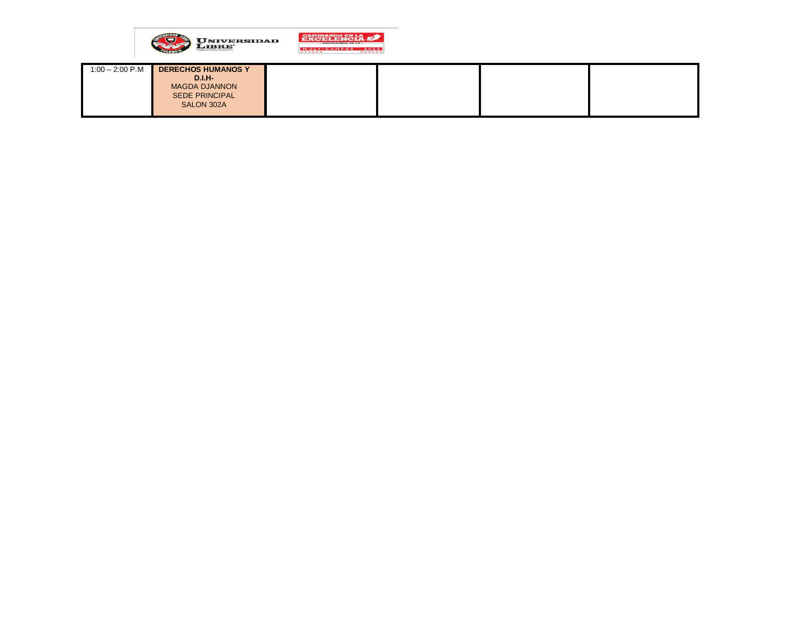

| $1:00 - 2:00$ P.M | <b>DERECHOS HUMANOS Y</b> |  |  |
|-------------------|---------------------------|--|--|
|                   | $D.I.H-$                  |  |  |
|                   | <b>MAGDA DJANNON</b>      |  |  |
|                   | <b>SEDE PRINCIPAL</b>     |  |  |
|                   | SALON 302A                |  |  |
|                   |                           |  |  |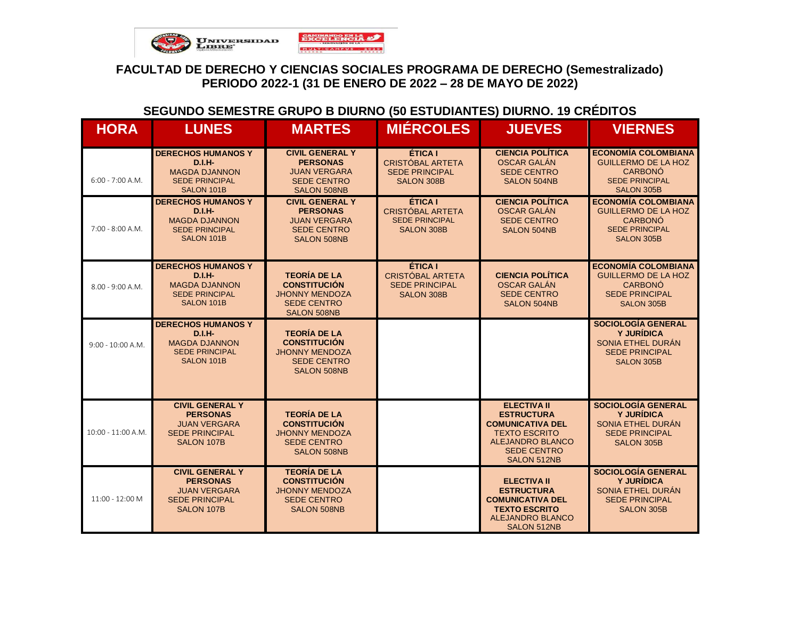

### **SEGUNDO SEMESTRE GRUPO B DIURNO (50 ESTUDIANTES) DIURNO. 19 CRÉDITOS**

| <b>HORA</b>         | <b>LUNES</b>                                                                                            | <b>MARTES</b>                                                                                                   | <b>MIÉRCOLES</b>                                                                 | <b>JUEVES</b>                                                                                                                                                     | <b>VIERNES</b>                                                                                                           |
|---------------------|---------------------------------------------------------------------------------------------------------|-----------------------------------------------------------------------------------------------------------------|----------------------------------------------------------------------------------|-------------------------------------------------------------------------------------------------------------------------------------------------------------------|--------------------------------------------------------------------------------------------------------------------------|
| $6:00 - 7:00 A.M.$  | <b>DERECHOS HUMANOS Y</b><br>$D.I.H-$<br><b>MAGDA DJANNON</b><br><b>SEDE PRINCIPAL</b><br>SALON 101B    | <b>CIVIL GENERAL Y</b><br><b>PERSONAS</b><br><b>JUAN VERGARA</b><br><b>SEDE CENTRO</b><br><b>SALON 508NB</b>    | ÉTICA I<br>CRISTÓBAL ARTETA<br><b>SEDE PRINCIPAL</b><br><b>SALON 308B</b>        | <b>CIENCIA POLÍTICA</b><br><b>OSCAR GALÁN</b><br><b>SEDE CENTRO</b><br><b>SALON 504NB</b>                                                                         | <b>ECONOMÍA COLOMBIANA</b><br><b>GUILLERMO DE LA HOZ</b><br><b>CARBONÓ</b><br><b>SEDE PRINCIPAL</b><br><b>SALON 305B</b> |
| $7:00 - 8:00 A.M.$  | <b>DERECHOS HUMANOS Y</b><br>$D.I.H-$<br><b>MAGDA DJANNON</b><br><b>SEDE PRINCIPAL</b><br>SALON 101B    | <b>CIVIL GENERAL Y</b><br><b>PERSONAS</b><br><b>JUAN VERGARA</b><br><b>SEDE CENTRO</b><br><b>SALON 508NB</b>    | ÉTICA I<br>CRISTÓBAL ARTETA<br><b>SEDE PRINCIPAL</b><br><b>SALON 308B</b>        | <b>CIENCIA POLÍTICA</b><br><b>OSCAR GALÁN</b><br><b>SEDE CENTRO</b><br><b>SALON 504NB</b>                                                                         | <b>ECONOMÍA COLOMBIANA</b><br><b>GUILLERMO DE LA HOZ</b><br><b>CARBONÓ</b><br><b>SEDE PRINCIPAL</b><br>SALON 305B        |
| $8.00 - 9:00 A.M.$  | <b>DERECHOS HUMANOS Y</b><br>$D.I.H-$<br><b>MAGDA DJANNON</b><br><b>SEDE PRINCIPAL</b><br>SALON 101B    | <b>TEORÍA DE LA</b><br><b>CONSTITUCIÓN</b><br><b>JHONNY MENDOZA</b><br><b>SEDE CENTRO</b><br><b>SALON 508NB</b> | ÉTICA I<br><b>CRISTÓBAL ARTETA</b><br><b>SEDE PRINCIPAL</b><br><b>SALON 308B</b> | <b>CIENCIA POLÍTICA</b><br>OSCAR GALÁN<br><b>SEDE CENTRO</b><br>SALON 504NB                                                                                       | <b>ECONOMÍA COLOMBIANA</b><br><b>GUILLERMO DE LA HOZ</b><br><b>CARBONÓ</b><br><b>SEDE PRINCIPAL</b><br>SALON 305B        |
| $9:00 - 10:00 A.M.$ | <b>DERECHOS HUMANOS Y</b><br>$D.I.H-$<br><b>MAGDA DJANNON</b><br><b>SEDE PRINCIPAL</b><br>SALON 101B    | <b>TEORÍA DE LA</b><br><b>CONSTITUCIÓN</b><br><b>JHONNY MENDOZA</b><br><b>SEDE CENTRO</b><br><b>SALON 508NB</b> |                                                                                  |                                                                                                                                                                   | <b>SOCIOLOGÍA GENERAL</b><br>Y JURÍDICA<br>SONIA ETHEL DURÁN<br><b>SEDE PRINCIPAL</b><br>SALON 305B                      |
| 10:00 - 11:00 A.M.  | <b>CIVIL GENERAL Y</b><br><b>PERSONAS</b><br><b>JUAN VERGARA</b><br><b>SEDE PRINCIPAL</b><br>SALON 107B | <b>TEORÍA DE LA</b><br><b>CONSTITUCIÓN</b><br><b>JHONNY MENDOZA</b><br><b>SEDE CENTRO</b><br><b>SALON 508NB</b> |                                                                                  | <b>ELECTIVA II</b><br><b>ESTRUCTURA</b><br><b>COMUNICATIVA DEL</b><br><b>TEXTO ESCRITO</b><br><b>ALEJANDRO BLANCO</b><br><b>SEDE CENTRO</b><br><b>SALON 512NB</b> | <b>SOCIOLOGÍA GENERAL</b><br><b>Y JURÍDICA</b><br>SONIA ETHEL DURÁN<br><b>SEDE PRINCIPAL</b><br><b>SALON 305B</b>        |
| 11:00 - 12:00 M     | <b>CIVIL GENERAL Y</b><br><b>PERSONAS</b><br><b>JUAN VERGARA</b><br><b>SEDE PRINCIPAL</b><br>SALON 107B | <b>TEORÍA DE LA</b><br><b>CONSTITUCIÓN</b><br><b>JHONNY MENDOZA</b><br><b>SEDE CENTRO</b><br><b>SALON 508NB</b> |                                                                                  | <b>ELECTIVA II</b><br><b>ESTRUCTURA</b><br><b>COMUNICATIVA DEL</b><br><b>TEXTO ESCRITO</b><br><b>ALEJANDRO BLANCO</b><br><b>SALON 512NB</b>                       | <b>SOCIOLOGÍA GENERAL</b><br><b>Y JURÍDICA</b><br>SONIA ETHEL DURÁN<br><b>SEDE PRINCIPAL</b><br>SALON 305B               |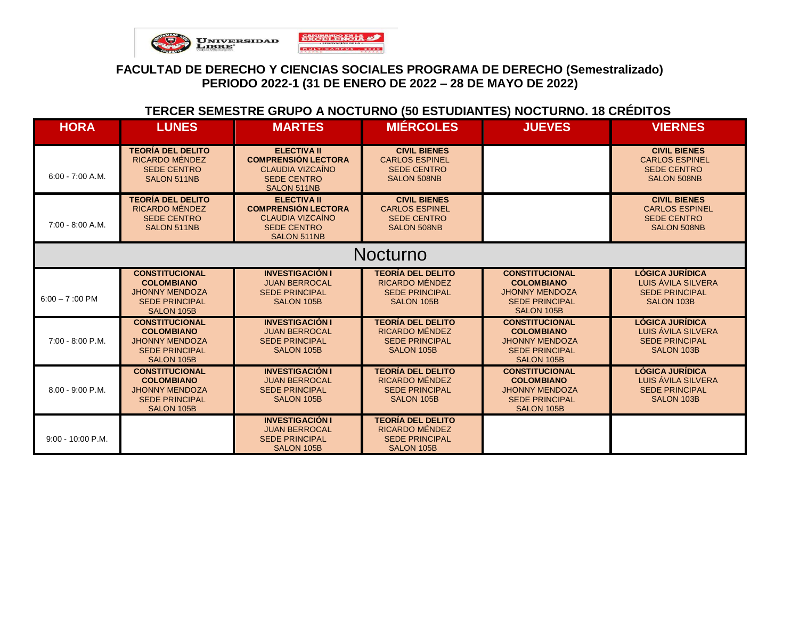

# **TERCER SEMESTRE GRUPO A NOCTURNO (50 ESTUDIANTES) NOCTURNO. 18 CRÉDITOS**

| <b>HORA</b>              | <b>LUNES</b>                                                                                               | <b>MARTES</b>                                                                                                    | <b>MIÉRCOLES</b>                                                                         | <b>JUEVES</b>                                                                                                     | <b>VIERNES</b>                                                                             |
|--------------------------|------------------------------------------------------------------------------------------------------------|------------------------------------------------------------------------------------------------------------------|------------------------------------------------------------------------------------------|-------------------------------------------------------------------------------------------------------------------|--------------------------------------------------------------------------------------------|
| $6:00 - 7:00 A.M.$       | <b>TEORÍA DEL DELITO</b><br>RICARDO MÉNDEZ<br><b>SEDE CENTRO</b><br>SALON 511NB                            | <b>ELECTIVA II</b><br><b>COMPRENSIÓN LECTORA</b><br>CLAUDIA VIZCAÍNO<br><b>SEDE CENTRO</b><br>SALON 511NB        | <b>CIVIL BIENES</b><br><b>CARLOS ESPINEL</b><br><b>SEDE CENTRO</b><br><b>SALON 508NB</b> |                                                                                                                   | <b>CIVIL BIENES</b><br><b>CARLOS ESPINEL</b><br><b>SEDE CENTRO</b><br><b>SALON 508NB</b>   |
| 7:00 - 8:00 A.M.         | <b>TEORÍA DEL DELITO</b><br>RICARDO MÉNDEZ<br><b>SEDE CENTRO</b><br>SALON 511NB                            | <b>ELECTIVA II</b><br><b>COMPRENSIÓN LECTORA</b><br><b>CLAUDIA VIZCAÍNO</b><br><b>SEDE CENTRO</b><br>SALON 511NB | <b>CIVIL BIENES</b><br><b>CARLOS ESPINEL</b><br><b>SEDE CENTRO</b><br><b>SALON 508NB</b> |                                                                                                                   | <b>CIVIL BIENES</b><br><b>CARLOS ESPINEL</b><br><b>SEDE CENTRO</b><br><b>SALON 508NB</b>   |
|                          |                                                                                                            |                                                                                                                  | <b>Nocturno</b>                                                                          |                                                                                                                   |                                                                                            |
| $6:00 - 7:00 \text{ PM}$ | <b>CONSTITUCIONAL</b><br><b>COLOMBIANO</b><br><b>JHONNY MENDOZA</b><br><b>SEDE PRINCIPAL</b><br>SALON 105B | <b>INVESTIGACIÓN I</b><br><b>JUAN BERROCAL</b><br><b>SEDE PRINCIPAL</b><br>SALON 105B                            | <b>TEORÍA DEL DELITO</b><br>RICARDO MÉNDEZ<br><b>SEDE PRINCIPAL</b><br>SALON 105B        | <b>CONSTITUCIONAL</b><br><b>COLOMBIANO</b><br><b>JHONNY MENDOZA</b><br><b>SEDE PRINCIPAL</b><br>SALON 105B        | <b>LÓGICA JURÍDICA</b><br>LUIS AVILA SILVERA<br><b>SEDE PRINCIPAL</b><br>SALON 103B        |
| 7:00 - 8:00 P.M.         | <b>CONSTITUCIONAL</b><br><b>COLOMBIANO</b><br><b>JHONNY MENDOZA</b><br><b>SEDE PRINCIPAL</b><br>SALON 105B | <b>INVESTIGACIÓN I</b><br><b>JUAN BERROCAL</b><br><b>SEDE PRINCIPAL</b><br>SALON 105B                            | <b>TEORÍA DEL DELITO</b><br>RICARDO MÉNDEZ<br><b>SEDE PRINCIPAL</b><br>SALON 105B        | <b>CONSTITUCIONAL</b><br><b>COLOMBIANO</b><br><b>JHONNY MENDOZA</b><br><b>SEDE PRINCIPAL</b><br><b>SALON 105B</b> | <b>LÓGICA JURÍDICA</b><br>LUIS ÁVILA SILVERA<br><b>SEDE PRINCIPAL</b><br>SALON 103B        |
| 8.00 - 9:00 P.M.         | <b>CONSTITUCIONAL</b><br><b>COLOMBIANO</b><br><b>JHONNY MENDOZA</b><br><b>SEDE PRINCIPAL</b><br>SALON 105B | <b>INVESTIGACIÓN I</b><br><b>JUAN BERROCAL</b><br><b>SEDE PRINCIPAL</b><br>SALON 105B                            | <b>TEORÍA DEL DELITO</b><br>RICARDO MÉNDEZ<br><b>SEDE PRINCIPAL</b><br>SALON 105B        | <b>CONSTITUCIONAL</b><br><b>COLOMBIANO</b><br><b>JHONNY MENDOZA</b><br><b>SEDE PRINCIPAL</b><br><b>SALON 105B</b> | <b>LÓGICA JURÍDICA</b><br>LUIS ÁVILA SILVERA<br><b>SEDE PRINCIPAL</b><br><b>SALON 103B</b> |
| $9:00 - 10:00 P.M.$      |                                                                                                            | <b>INVESTIGACIÓN I</b><br><b>JUAN BERROCAL</b><br><b>SEDE PRINCIPAL</b><br><b>SALON 105B</b>                     | <b>TEORÍA DEL DELITO</b><br>RICARDO MÉNDEZ<br><b>SEDE PRINCIPAL</b><br>SALON 105B        |                                                                                                                   |                                                                                            |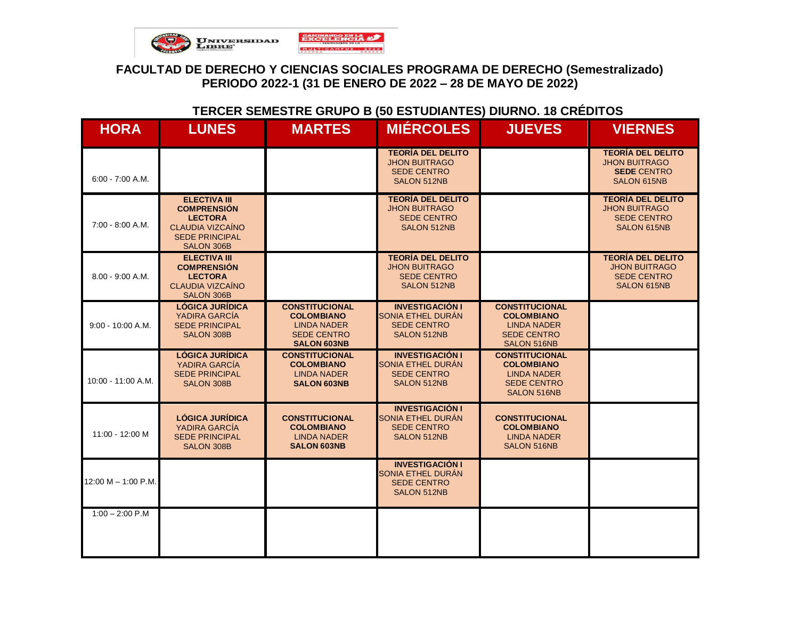

### **TERCER SEMESTRE GRUPO B (50 ESTUDIANTES) DIURNO. 18 CRÉDITOS**

| <b>HORA</b>           | <b>LUNES</b>                                                                                                                  | <b>MARTES</b>                                                                                                | <b>MIÉRCOLES</b>                                                                      | <b>JUEVES</b>                                                                                         | <b>VIERNES</b>                                                                               |
|-----------------------|-------------------------------------------------------------------------------------------------------------------------------|--------------------------------------------------------------------------------------------------------------|---------------------------------------------------------------------------------------|-------------------------------------------------------------------------------------------------------|----------------------------------------------------------------------------------------------|
| $6:00 - 7:00 A.M.$    |                                                                                                                               |                                                                                                              | <b>TEORÍA DEL DELITO</b><br><b>JHON BUITRAGO</b><br><b>SEDE CENTRO</b><br>SALON 512NB |                                                                                                       | <b>TEORÍA DEL DELITO</b><br><b>JHON BUITRAGO</b><br><b>SEDE CENTRO</b><br>SALON 615NB        |
| 7:00 - 8:00 A.M.      | <b>ELECTIVA III</b><br><b>COMPRENSIÓN</b><br><b>LECTORA</b><br><b>CLAUDIA VIZCAÍNO</b><br><b>SEDE PRINCIPAL</b><br>SALON 306B |                                                                                                              | <b>TEORÍA DEL DELITO</b><br><b>JHON BUITRAGO</b><br><b>SEDE CENTRO</b><br>SALON 512NB |                                                                                                       | <b>TEORÍA DEL DELITO</b><br><b>JHON BUITRAGO</b><br><b>SEDE CENTRO</b><br><b>SALON 615NB</b> |
| 8.00 - 9:00 A.M.      | <b>ELECTIVA III</b><br><b>COMPRENSIÓN</b><br><b>LECTORA</b><br><b>CLAUDIA VIZCAÍNO</b><br>SALON 306B                          |                                                                                                              | <b>TEORÍA DEL DELITO</b><br><b>JHON BUITRAGO</b><br><b>SEDE CENTRO</b><br>SALON 512NB |                                                                                                       | <b>TEORÍA DEL DELITO</b><br><b>JHON BUITRAGO</b><br><b>SEDE CENTRO</b><br>SALON 615NB        |
| $9:00 - 10:00 A.M.$   | <b>LÓGICA JURÍDICA</b><br>YADIRA GARCÍA<br><b>SEDE PRINCIPAL</b><br>SALON 308B                                                | <b>CONSTITUCIONAL</b><br><b>COLOMBIANO</b><br><b>LINDA NADER</b><br><b>SEDE CENTRO</b><br><b>SALON 603NB</b> | <b>INVESTIGACIÓN I</b><br>SONIA ETHEL DURÁN<br><b>SEDE CENTRO</b><br>SALON 512NB      | <b>CONSTITUCIONAL</b><br><b>COLOMBIANO</b><br><b>LINDA NADER</b><br><b>SEDE CENTRO</b><br>SALON 516NB |                                                                                              |
| 10:00 - 11:00 A.M.    | <b>LÓGICA JURÍDICA</b><br>YADIRA GARCÍA<br><b>SEDE PRINCIPAL</b><br><b>SALON 308B</b>                                         | <b>CONSTITUCIONAL</b><br><b>COLOMBIANO</b><br><b>LINDA NADER</b><br><b>SALON 603NB</b>                       | <b>INVESTIGACIÓN I</b><br>SONIA ETHEL DURÁN<br><b>SEDE CENTRO</b><br>SALON 512NB      | <b>CONSTITUCIONAL</b><br><b>COLOMBIANO</b><br><b>LINDA NADER</b><br><b>SEDE CENTRO</b><br>SALON 516NB |                                                                                              |
| 11:00 - 12:00 M       | <b>LÓGICA JURÍDICA</b><br>YADIRA GARCÍA<br><b>SEDE PRINCIPAL</b><br>SALON 308B                                                | <b>CONSTITUCIONAL</b><br><b>COLOMBIANO</b><br><b>LINDA NADER</b><br><b>SALON 603NB</b>                       | <b>INVESTIGACIÓN I</b><br>SONIA ETHEL DURÁN<br><b>SEDE CENTRO</b><br>SALON 512NB      | <b>CONSTITUCIONAL</b><br><b>COLOMBIANO</b><br><b>LINDA NADER</b><br><b>SALON 516NB</b>                |                                                                                              |
| $12:00 M - 1:00 P.M.$ |                                                                                                                               |                                                                                                              | <b>INVESTIGACIÓN I</b><br>SONIA ETHEL DURÁN<br><b>SEDE CENTRO</b><br>SALON 512NB      |                                                                                                       |                                                                                              |
| $1:00 - 2:00$ P.M     |                                                                                                                               |                                                                                                              |                                                                                       |                                                                                                       |                                                                                              |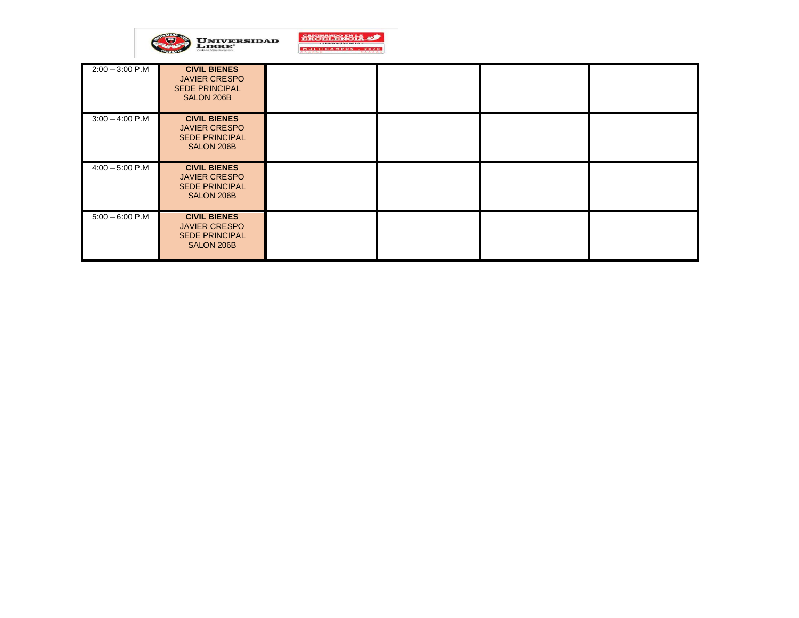

| $2:00 - 3:00$ P.M | <b>CIVIL BIENES</b><br><b>JAVIER CRESPO</b><br><b>SEDE PRINCIPAL</b><br>SALON 206B |  |  |
|-------------------|------------------------------------------------------------------------------------|--|--|
| $3:00 - 4:00$ P.M | <b>CIVIL BIENES</b><br><b>JAVIER CRESPO</b><br><b>SEDE PRINCIPAL</b><br>SALON 206B |  |  |
| $4:00 - 5:00$ P.M | <b>CIVIL BIENES</b><br><b>JAVIER CRESPO</b><br><b>SEDE PRINCIPAL</b><br>SALON 206B |  |  |
| $5:00 - 6:00 P.M$ | <b>CIVIL BIENES</b><br><b>JAVIER CRESPO</b><br><b>SEDE PRINCIPAL</b><br>SALON 206B |  |  |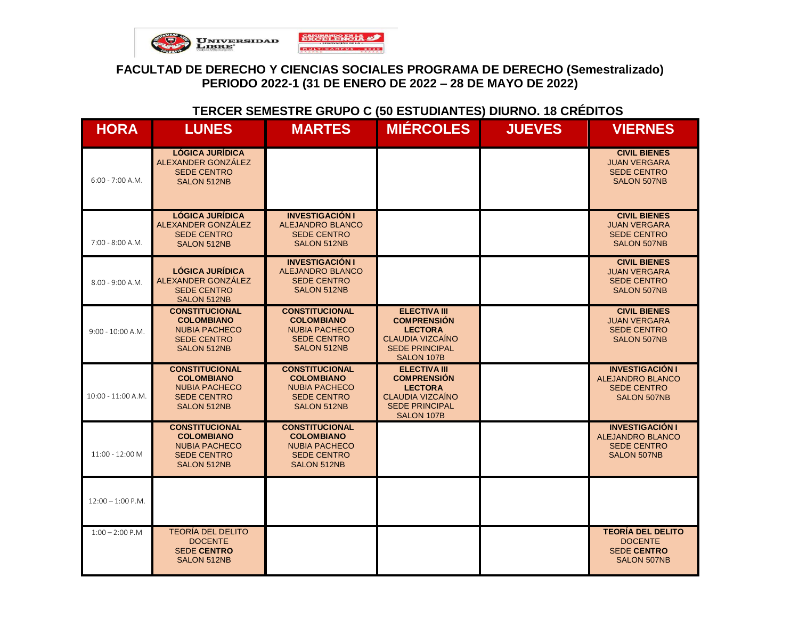

### **TERCER SEMESTRE GRUPO C (50 ESTUDIANTES) DIURNO. 18 CRÉDITOS**

| <b>HORA</b>          | <b>LUNES</b>                                                                                                   | <b>MARTES</b>                                                                                                  | <b>MIÉRCOLES</b>                                                                                                              | <b>JUEVES</b> | <b>VIERNES</b>                                                                                |
|----------------------|----------------------------------------------------------------------------------------------------------------|----------------------------------------------------------------------------------------------------------------|-------------------------------------------------------------------------------------------------------------------------------|---------------|-----------------------------------------------------------------------------------------------|
| $6:00 - 7:00 A.M.$   | <b>LÓGICA JURÍDICA</b><br>ALEXANDER GONZÁLEZ<br><b>SEDE CENTRO</b><br><b>SALON 512NB</b>                       |                                                                                                                |                                                                                                                               |               | <b>CIVIL BIENES</b><br><b>JUAN VERGARA</b><br><b>SEDE CENTRO</b><br><b>SALON 507NB</b>        |
| $7:00 - 8:00 A.M.$   | <b>LÓGICA JURÍDICA</b><br>ALEXANDER GONZÁLEZ<br><b>SEDE CENTRO</b><br>SALON 512NB                              | <b>INVESTIGACIÓN I</b><br><b>ALEJANDRO BLANCO</b><br><b>SEDE CENTRO</b><br><b>SALON 512NB</b>                  |                                                                                                                               |               | <b>CIVIL BIENES</b><br><b>JUAN VERGARA</b><br><b>SEDE CENTRO</b><br><b>SALON 507NB</b>        |
| $8.00 - 9:00 A.M.$   | <b>LÓGICA JURÍDICA</b><br>ALEXANDER GONZÁLEZ<br><b>SEDE CENTRO</b><br><b>SALON 512NB</b>                       | <b>INVESTIGACIÓN I</b><br><b>ALEJANDRO BLANCO</b><br><b>SEDE CENTRO</b><br>SALON 512NB                         |                                                                                                                               |               | <b>CIVIL BIENES</b><br><b>JUAN VERGARA</b><br><b>SEDE CENTRO</b><br><b>SALON 507NB</b>        |
| $9:00 - 10:00 A.M.$  | <b>CONSTITUCIONAL</b><br><b>COLOMBIANO</b><br><b>NUBIA PACHECO</b><br><b>SEDE CENTRO</b><br><b>SALON 512NB</b> | <b>CONSTITUCIONAL</b><br><b>COLOMBIANO</b><br><b>NUBIA PACHECO</b><br><b>SEDE CENTRO</b><br>SALON 512NB        | <b>ELECTIVA III</b><br><b>COMPRENSIÓN</b><br><b>LECTORA</b><br><b>CLAUDIA VIZCAÍNO</b><br><b>SEDE PRINCIPAL</b><br>SALON 107B |               | <b>CIVIL BIENES</b><br><b>JUAN VERGARA</b><br><b>SEDE CENTRO</b><br><b>SALON 507NB</b>        |
| $10:00 - 11:00 A.M.$ | <b>CONSTITUCIONAL</b><br><b>COLOMBIANO</b><br><b>NUBIA PACHECO</b><br><b>SEDE CENTRO</b><br><b>SALON 512NB</b> | <b>CONSTITUCIONAL</b><br><b>COLOMBIANO</b><br><b>NUBIA PACHECO</b><br><b>SEDE CENTRO</b><br><b>SALON 512NB</b> | <b>ELECTIVA III</b><br><b>COMPRENSIÓN</b><br><b>LECTORA</b><br><b>CLAUDIA VIZCAÍNO</b><br><b>SEDE PRINCIPAL</b><br>SALON 107B |               | <b>INVESTIGACIÓN I</b><br><b>ALEJANDRO BLANCO</b><br><b>SEDE CENTRO</b><br><b>SALON 507NB</b> |
| 11:00 - 12:00 M      | <b>CONSTITUCIONAL</b><br><b>COLOMBIANO</b><br><b>NUBIA PACHECO</b><br><b>SEDE CENTRO</b><br>SALON 512NB        | <b>CONSTITUCIONAL</b><br><b>COLOMBIANO</b><br><b>NUBIA PACHECO</b><br><b>SEDE CENTRO</b><br>SALON 512NB        |                                                                                                                               |               | <b>INVESTIGACIÓN I</b><br><b>ALEJANDRO BLANCO</b><br><b>SEDE CENTRO</b><br><b>SALON 507NB</b> |
| $12:00 - 1:00$ P.M.  |                                                                                                                |                                                                                                                |                                                                                                                               |               |                                                                                               |
| $1:00 - 2:00 P.M$    | <b>TEORÍA DEL DELITO</b><br><b>DOCENTE</b><br><b>SEDE CENTRO</b><br><b>SALON 512NB</b>                         |                                                                                                                |                                                                                                                               |               | <b>TEORÍA DEL DELITO</b><br><b>DOCENTE</b><br><b>SEDE CENTRO</b><br><b>SALON 507NB</b>        |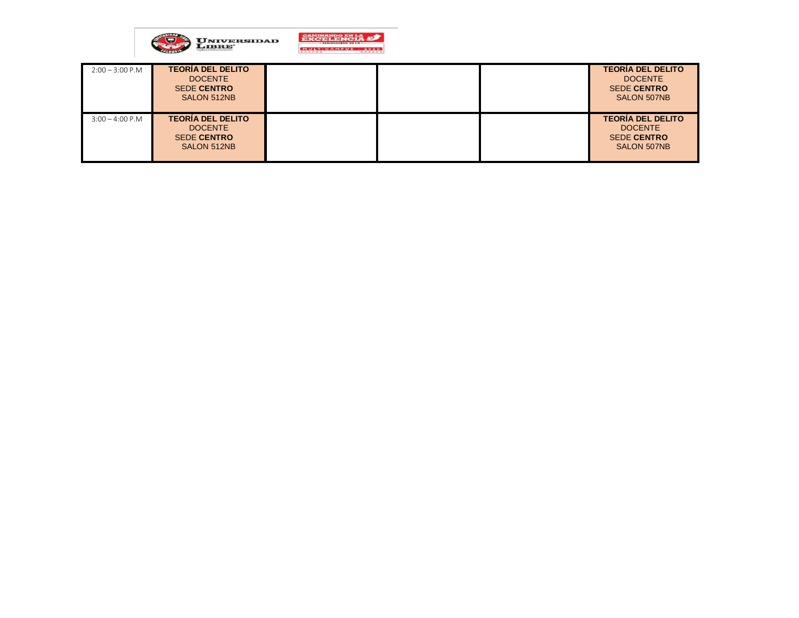

| $2:00 - 3:00 P.M$ | <b>TEORÍA DEL DELITO</b><br><b>DOCENTE</b><br><b>SEDE CENTRO</b><br>SALON 512NB |  | <b>TEORÍA DEL DELITO</b><br><b>DOCENTE</b><br><b>SEDE CENTRO</b><br><b>SALON 507NB</b> |
|-------------------|---------------------------------------------------------------------------------|--|----------------------------------------------------------------------------------------|
| $3:00 - 4:00$ P.M | <b>TEORÍA DEL DELITO</b><br><b>DOCENTE</b><br><b>SEDE CENTRO</b><br>SALON 512NB |  | <b>TEORÍA DEL DELITO</b><br><b>DOCENTE</b><br><b>SEDE CENTRO</b><br><b>SALON 507NB</b> |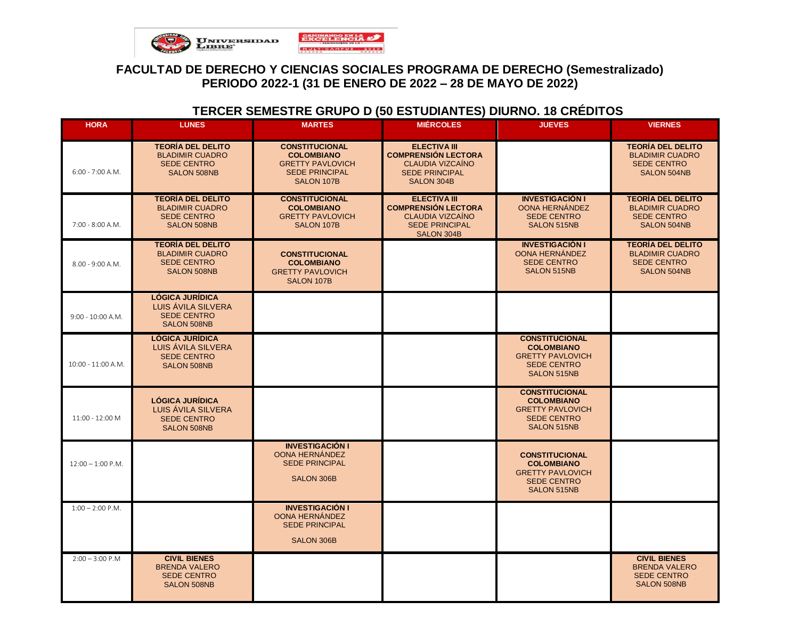

# **TERCER SEMESTRE GRUPO D (50 ESTUDIANTES) DIURNO. 18 CRÉDITOS**

| <b>HORA</b>         | <b>LUNES</b>                                                                                   | <b>MARTES</b>                                                                                                | <b>MIÉRCOLES</b>                                                                                                           | <b>JUEVES</b>                                                                                                     | <b>VIERNES</b>                                                                                 |
|---------------------|------------------------------------------------------------------------------------------------|--------------------------------------------------------------------------------------------------------------|----------------------------------------------------------------------------------------------------------------------------|-------------------------------------------------------------------------------------------------------------------|------------------------------------------------------------------------------------------------|
| $6:00 - 7:00 A.M.$  | <b>TEORÍA DEL DELITO</b><br><b>BLADIMIR CUADRO</b><br><b>SEDE CENTRO</b><br>SALON 508NB        | <b>CONSTITUCIONAL</b><br><b>COLOMBIANO</b><br><b>GRETTY PAVLOVICH</b><br><b>SEDE PRINCIPAL</b><br>SALON 107B | <b>ELECTIVA III</b><br><b>COMPRENSIÓN LECTORA</b><br><b>CLAUDIA VIZCAÍNO</b><br><b>SEDE PRINCIPAL</b><br><b>SALON 304B</b> |                                                                                                                   | <b>TEORÍA DEL DELITO</b><br><b>BLADIMIR CUADRO</b><br><b>SEDE CENTRO</b><br>SALON 504NB        |
| 7:00 - 8:00 A.M.    | <b>TEORÍA DEL DELITO</b><br><b>BLADIMIR CUADRO</b><br><b>SEDE CENTRO</b><br><b>SALON 508NB</b> | <b>CONSTITUCIONAL</b><br><b>COLOMBIANO</b><br><b>GRETTY PAVLOVICH</b><br>SALON 107B                          | <b>ELECTIVA III</b><br><b>COMPRENSIÓN LECTORA</b><br><b>CLAUDIA VIZCAÍNO</b><br><b>SEDE PRINCIPAL</b><br>SALON 304B        | <b>INVESTIGACIÓN I</b><br>OONA HERNÁNDEZ<br><b>SEDE CENTRO</b><br>SALON 515NB                                     | <b>TEORÍA DEL DELITO</b><br><b>BLADIMIR CUADRO</b><br><b>SEDE CENTRO</b><br>SALON 504NB        |
| $8.00 - 9:00 A.M.$  | <b>TEORÍA DEL DELITO</b><br><b>BLADIMIR CUADRO</b><br><b>SEDE CENTRO</b><br><b>SALON 508NB</b> | <b>CONSTITUCIONAL</b><br><b>COLOMBIANO</b><br><b>GRETTY PAVLOVICH</b><br>SALON 107B                          |                                                                                                                            | <b>INVESTIGACIÓN I</b><br>OONA HERNÁNDEZ<br><b>SEDE CENTRO</b><br>SALON 515NB                                     | <b>TEORÍA DEL DELITO</b><br><b>BLADIMIR CUADRO</b><br><b>SEDE CENTRO</b><br><b>SALON 504NB</b> |
| 9:00 - 10:00 A.M.   | <b>LÓGICA JURÍDICA</b><br>LUIS AVILA SILVERA<br><b>SEDE CENTRO</b><br><b>SALON 508NB</b>       |                                                                                                              |                                                                                                                            |                                                                                                                   |                                                                                                |
| 10:00 - 11:00 A.M.  | <b>LÓGICA JURÍDICA</b><br>LUIS AVILA SILVERA<br><b>SEDE CENTRO</b><br>SALON 508NB              |                                                                                                              |                                                                                                                            | <b>CONSTITUCIONAL</b><br><b>COLOMBIANO</b><br><b>GRETTY PAVLOVICH</b><br><b>SEDE CENTRO</b><br>SALON 515NB        |                                                                                                |
| 11:00 - 12:00 M     | <b>LÓGICA JURÍDICA</b><br>LUIS AVILA SILVERA<br><b>SEDE CENTRO</b><br>SALON 508NB              |                                                                                                              |                                                                                                                            | <b>CONSTITUCIONAL</b><br><b>COLOMBIANO</b><br><b>GRETTY PAVLOVICH</b><br><b>SEDE CENTRO</b><br><b>SALON 515NB</b> |                                                                                                |
| $12:00 - 1:00$ P.M. |                                                                                                | <b>INVESTIGACIÓN I</b><br>OONA HERNANDEZ<br><b>SEDE PRINCIPAL</b><br><b>SALON 306B</b>                       |                                                                                                                            | <b>CONSTITUCIONAL</b><br><b>COLOMBIANO</b><br><b>GRETTY PAVLOVICH</b><br><b>SEDE CENTRO</b><br>SALON 515NB        |                                                                                                |
| $1:00 - 2:00$ P.M.  |                                                                                                | <b>INVESTIGACIÓN I</b><br>OONA HERNÁNDEZ<br><b>SEDE PRINCIPAL</b><br><b>SALON 306B</b>                       |                                                                                                                            |                                                                                                                   |                                                                                                |
| $2:00 - 3:00$ P.M   | <b>CIVIL BIENES</b><br><b>BRENDA VALERO</b><br><b>SEDE CENTRO</b><br>SALON 508NB               |                                                                                                              |                                                                                                                            |                                                                                                                   | <b>CIVIL BIENES</b><br><b>BRENDA VALERO</b><br><b>SEDE CENTRO</b><br><b>SALON 508NB</b>        |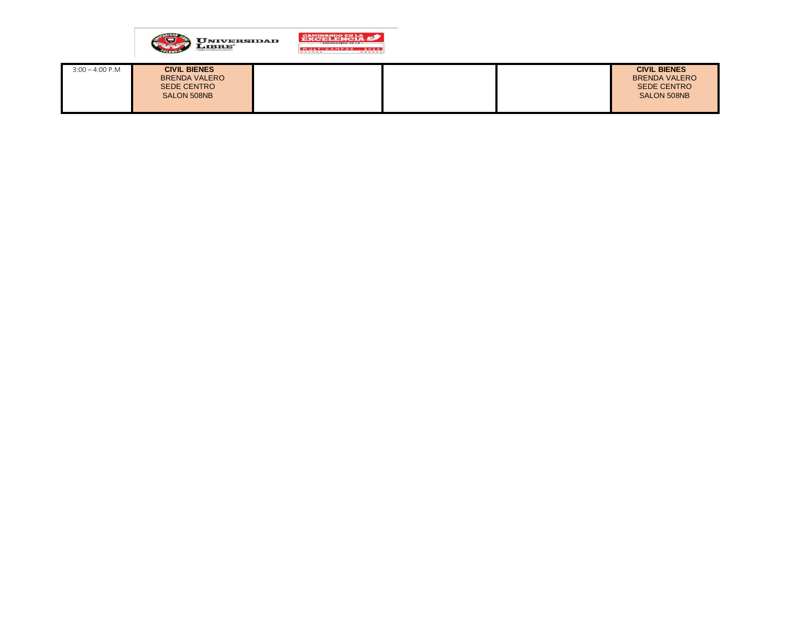

| $3:00 - 4:00 P.M$ | <b>CIVIL BIENES</b><br><b>BRENDA VALERO</b><br><b>SEDE CENTRO</b><br>SALON 508NB |  | <b>CIVIL BIENES</b><br><b>BRENDA VALERO</b><br><b>SEDE CENTRO</b><br>SALON 508NB |
|-------------------|----------------------------------------------------------------------------------|--|----------------------------------------------------------------------------------|
|                   |                                                                                  |  |                                                                                  |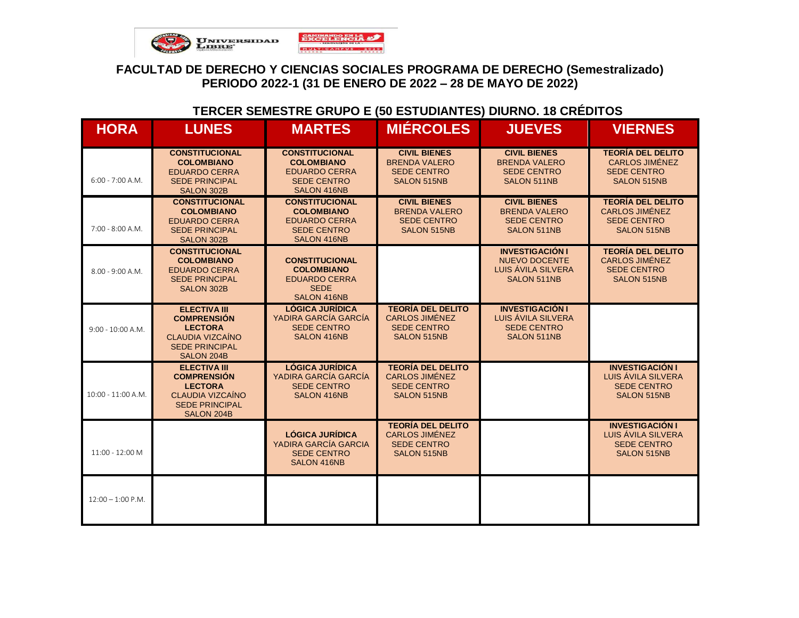

# **TERCER SEMESTRE GRUPO E (50 ESTUDIANTES) DIURNO. 18 CRÉDITOS**

| <b>HORA</b>         | <b>LUNES</b>                                                                                                                  | <b>MARTES</b>                                                                                           | <b>MIÉRCOLES</b>                                                                              | <b>JUEVES</b>                                                                       | <b>VIERNES</b>                                                                                |
|---------------------|-------------------------------------------------------------------------------------------------------------------------------|---------------------------------------------------------------------------------------------------------|-----------------------------------------------------------------------------------------------|-------------------------------------------------------------------------------------|-----------------------------------------------------------------------------------------------|
| $6:00 - 7:00 A.M.$  | <b>CONSTITUCIONAL</b><br><b>COLOMBIANO</b><br><b>EDUARDO CERRA</b><br><b>SEDE PRINCIPAL</b><br>SALON 302B                     | <b>CONSTITUCIONAL</b><br><b>COLOMBIANO</b><br><b>EDUARDO CERRA</b><br><b>SEDE CENTRO</b><br>SALON 416NB | <b>CIVIL BIENES</b><br><b>BRENDA VALERO</b><br><b>SEDE CENTRO</b><br><b>SALON 515NB</b>       | <b>CIVIL BIENES</b><br><b>BRENDA VALERO</b><br><b>SEDE CENTRO</b><br>SALON 511NB    | <b>TEORÍA DEL DELITO</b><br><b>CARLOS JIMÉNEZ</b><br><b>SEDE CENTRO</b><br><b>SALON 515NB</b> |
| $7:00 - 8:00 A.M.$  | <b>CONSTITUCIONAL</b><br><b>COLOMBIANO</b><br><b>EDUARDO CERRA</b><br><b>SEDE PRINCIPAL</b><br>SALON 302B                     | <b>CONSTITUCIONAL</b><br><b>COLOMBIANO</b><br><b>EDUARDO CERRA</b><br><b>SEDE CENTRO</b><br>SALON 416NB | <b>CIVIL BIENES</b><br><b>BRENDA VALERO</b><br><b>SEDE CENTRO</b><br>SALON 515NB              | <b>CIVIL BIENES</b><br><b>BRENDA VALERO</b><br><b>SEDE CENTRO</b><br>SALON 511NB    | <b>TEORÍA DEL DELITO</b><br><b>CARLOS JIMÉNEZ</b><br><b>SEDE CENTRO</b><br><b>SALON 515NB</b> |
| $8.00 - 9:00 A.M.$  | <b>CONSTITUCIONAL</b><br><b>COLOMBIANO</b><br><b>EDUARDO CERRA</b><br><b>SEDE PRINCIPAL</b><br><b>SALON 302B</b>              | <b>CONSTITUCIONAL</b><br><b>COLOMBIANO</b><br><b>EDUARDO CERRA</b><br><b>SEDE</b><br>SALON 416NB        |                                                                                               | <b>INVESTIGACIÓN I</b><br><b>NUEVO DOCENTE</b><br>LUIS ÁVILA SILVERA<br>SALON 511NB | <b>TEORÍA DEL DELITO</b><br><b>CARLOS JIMÉNEZ</b><br><b>SEDE CENTRO</b><br><b>SALON 515NB</b> |
| $9:00 - 10:00 A.M.$ | <b>ELECTIVA III</b><br><b>COMPRENSIÓN</b><br><b>LECTORA</b><br>CLAUDIA VIZCAÍNO<br><b>SEDE PRINCIPAL</b><br>SALON 204B        | <b>LÓGICA JURÍDICA</b><br>YADIRA GARCÍA GARCÍA<br><b>SEDE CENTRO</b><br><b>SALON 416NB</b>              | <b>TEORÍA DEL DELITO</b><br><b>CARLOS JIMÉNEZ</b><br><b>SEDE CENTRO</b><br><b>SALON 515NB</b> | <b>INVESTIGACIÓN I</b><br>LUIS ÁVILA SILVERA<br><b>SEDE CENTRO</b><br>SALON 511NB   |                                                                                               |
| 10:00 - 11:00 A.M.  | <b>ELECTIVA III</b><br><b>COMPRENSIÓN</b><br><b>LECTORA</b><br><b>CLAUDIA VIZCAÍNO</b><br><b>SEDE PRINCIPAL</b><br>SALON 204B | <b>LÓGICA JURÍDICA</b><br>YADIRA GARCÍA GARCÍA<br><b>SEDE CENTRO</b><br>SALON 416NB                     | <b>TEORÍA DEL DELITO</b><br><b>CARLOS JIMÉNEZ</b><br><b>SEDE CENTRO</b><br><b>SALON 515NB</b> |                                                                                     | <b>INVESTIGACIÓN I</b><br>LUIS ÁVILA SILVERA<br><b>SEDE CENTRO</b><br><b>SALON 515NB</b>      |
| 11:00 - 12:00 M     |                                                                                                                               | <b>LÓGICA JURÍDICA</b><br>YADIRA GARCÍA GARCIA<br><b>SEDE CENTRO</b><br>SALON 416NB                     | <b>TEORÍA DEL DELITO</b><br><b>CARLOS JIMÉNEZ</b><br><b>SEDE CENTRO</b><br>SALON 515NB        |                                                                                     | <b>INVESTIGACIÓN I</b><br>LUIS ÁVILA SILVERA<br><b>SEDE CENTRO</b><br>SALON 515NB             |
| $12:00 - 1:00$ P.M. |                                                                                                                               |                                                                                                         |                                                                                               |                                                                                     |                                                                                               |